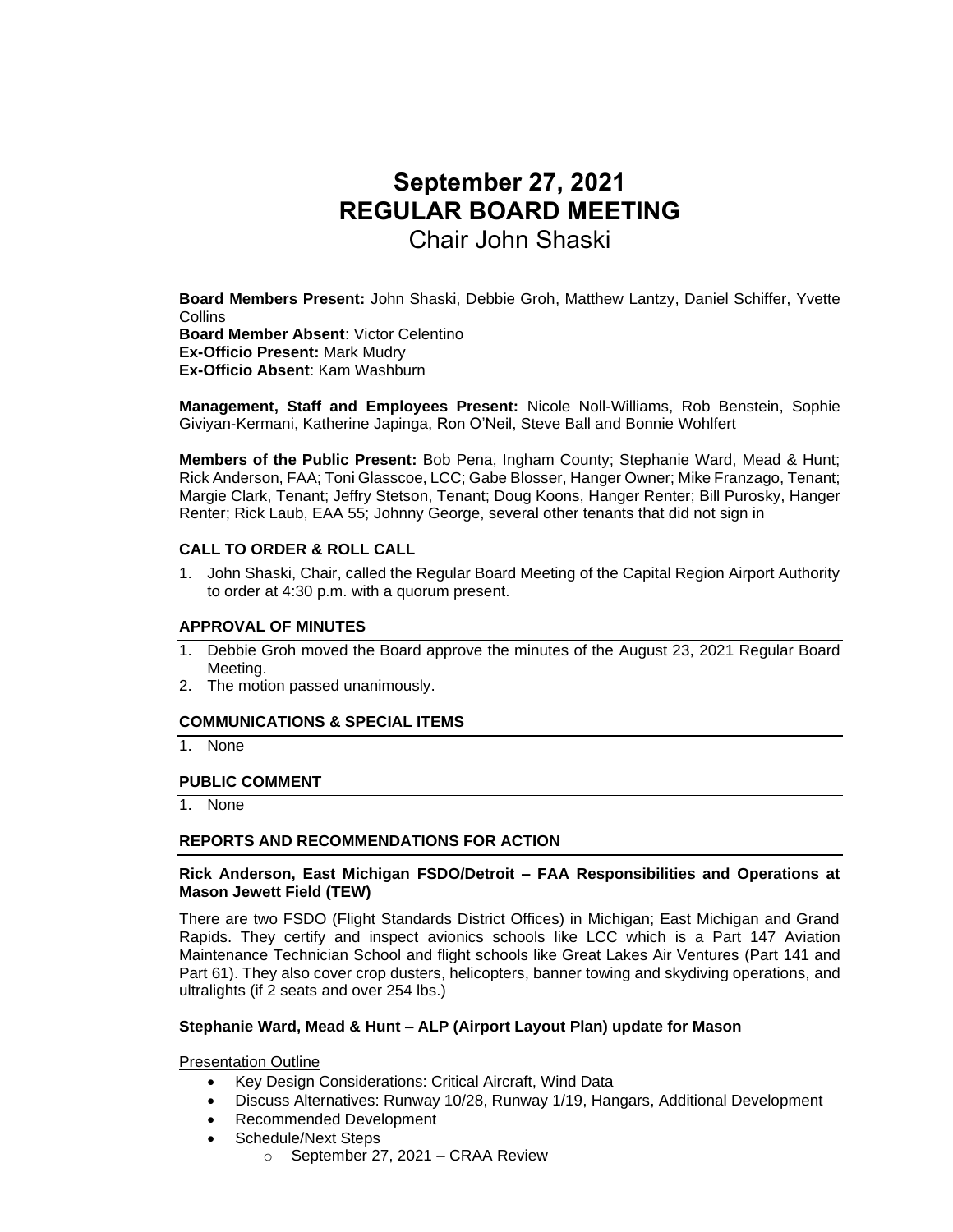# **September 27, 2021 REGULAR BOARD MEETING** Chair John Shaski

**Board Members Present:** John Shaski, Debbie Groh, Matthew Lantzy, Daniel Schiffer, Yvette Collins

**Board Member Absent**: Victor Celentino **Ex-Officio Present:** Mark Mudry **Ex-Officio Absent**: Kam Washburn

**Management, Staff and Employees Present:** Nicole Noll-Williams, Rob Benstein, Sophie Giviyan-Kermani, Katherine Japinga, Ron O'Neil, Steve Ball and Bonnie Wohlfert

**Members of the Public Present:** Bob Pena, Ingham County; Stephanie Ward, Mead & Hunt; Rick Anderson, FAA; Toni Glasscoe, LCC; Gabe Blosser, Hanger Owner; Mike Franzago, Tenant; Margie Clark, Tenant; Jeffry Stetson, Tenant; Doug Koons, Hanger Renter; Bill Purosky, Hanger Renter; Rick Laub, EAA 55; Johnny George, several other tenants that did not sign in

#### **CALL TO ORDER & ROLL CALL**

1. John Shaski, Chair, called the Regular Board Meeting of the Capital Region Airport Authority to order at 4:30 p.m. with a quorum present.

#### **APPROVAL OF MINUTES**

- 1. Debbie Groh moved the Board approve the minutes of the August 23, 2021 Regular Board Meeting.
- 2. The motion passed unanimously.

## **COMMUNICATIONS & SPECIAL ITEMS**

1. None

#### **PUBLIC COMMENT**

1. None

#### **REPORTS AND RECOMMENDATIONS FOR ACTION**

#### **Rick Anderson, East Michigan FSDO/Detroit – FAA Responsibilities and Operations at Mason Jewett Field (TEW)**

There are two FSDO (Flight Standards District Offices) in Michigan; East Michigan and Grand Rapids. They certify and inspect avionics schools like LCC which is a Part 147 Aviation Maintenance Technician School and flight schools like Great Lakes Air Ventures (Part 141 and Part 61). They also cover crop dusters, helicopters, banner towing and skydiving operations, and ultralights (if 2 seats and over 254 lbs.)

## **Stephanie Ward, Mead & Hunt – ALP (Airport Layout Plan) update for Mason**

Presentation Outline

- Key Design Considerations: Critical Aircraft, Wind Data
- Discuss Alternatives: Runway 10/28, Runway 1/19, Hangars, Additional Development
- Recommended Development
- Schedule/Next Steps
	- o September 27, 2021 CRAA Review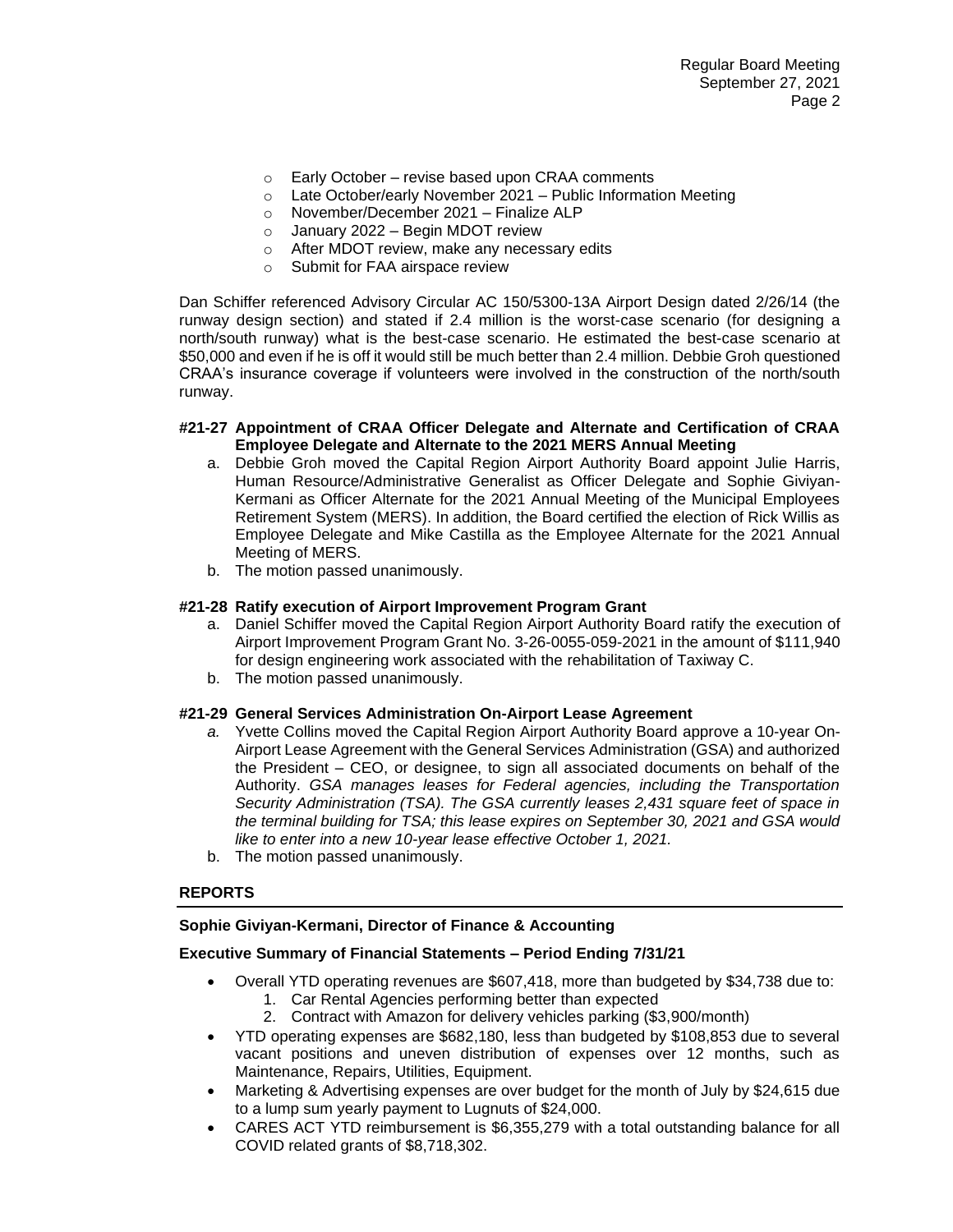- $\circ$  Early October revise based upon CRAA comments
- o Late October/early November 2021 Public Information Meeting
- o November/December 2021 Finalize ALP
- $\circ$  January 2022 Begin MDOT review
- o After MDOT review, make any necessary edits
- o Submit for FAA airspace review

Dan Schiffer referenced Advisory Circular AC 150/5300-13A Airport Design dated 2/26/14 (the runway design section) and stated if 2.4 million is the worst-case scenario (for designing a north/south runway) what is the best-case scenario. He estimated the best-case scenario at \$50,000 and even if he is off it would still be much better than 2.4 million. Debbie Groh questioned CRAA's insurance coverage if volunteers were involved in the construction of the north/south runway.

#### **#21-27 Appointment of CRAA Officer Delegate and Alternate and Certification of CRAA Employee Delegate and Alternate to the 2021 MERS Annual Meeting**

- a. Debbie Groh moved the Capital Region Airport Authority Board appoint Julie Harris, Human Resource/Administrative Generalist as Officer Delegate and Sophie Giviyan-Kermani as Officer Alternate for the 2021 Annual Meeting of the Municipal Employees Retirement System (MERS). In addition, the Board certified the election of Rick Willis as Employee Delegate and Mike Castilla as the Employee Alternate for the 2021 Annual Meeting of MERS.
- b. The motion passed unanimously.

### **#21-28 Ratify execution of Airport Improvement Program Grant**

- a. Daniel Schiffer moved the Capital Region Airport Authority Board ratify the execution of Airport Improvement Program Grant No. 3-26-0055-059-2021 in the amount of \$111,940 for design engineering work associated with the rehabilitation of Taxiway C.
- b. The motion passed unanimously.

#### **#21-29 General Services Administration On-Airport Lease Agreement**

- *a.* Yvette Collins moved the Capital Region Airport Authority Board approve a 10-year On-Airport Lease Agreement with the General Services Administration (GSA) and authorized the President – CEO, or designee, to sign all associated documents on behalf of the Authority. *GSA manages leases for Federal agencies, including the Transportation Security Administration (TSA). The GSA currently leases 2,431 square feet of space in the terminal building for TSA; this lease expires on September 30, 2021 and GSA would like to enter into a new 10-year lease effective October 1, 2021.*
- b. The motion passed unanimously.

#### **REPORTS**

#### **Sophie Giviyan-Kermani, Director of Finance & Accounting**

#### **Executive Summary of Financial Statements – Period Ending 7/31/21**

- Overall YTD operating revenues are \$607,418, more than budgeted by \$34,738 due to:
	- 1. Car Rental Agencies performing better than expected
	- 2. Contract with Amazon for delivery vehicles parking (\$3,900/month)
- YTD operating expenses are \$682,180, less than budgeted by \$108,853 due to several vacant positions and uneven distribution of expenses over 12 months, such as Maintenance, Repairs, Utilities, Equipment.
- Marketing & Advertising expenses are over budget for the month of July by \$24,615 due to a lump sum yearly payment to Lugnuts of \$24,000.
- CARES ACT YTD reimbursement is \$6,355,279 with a total outstanding balance for all COVID related grants of \$8,718,302.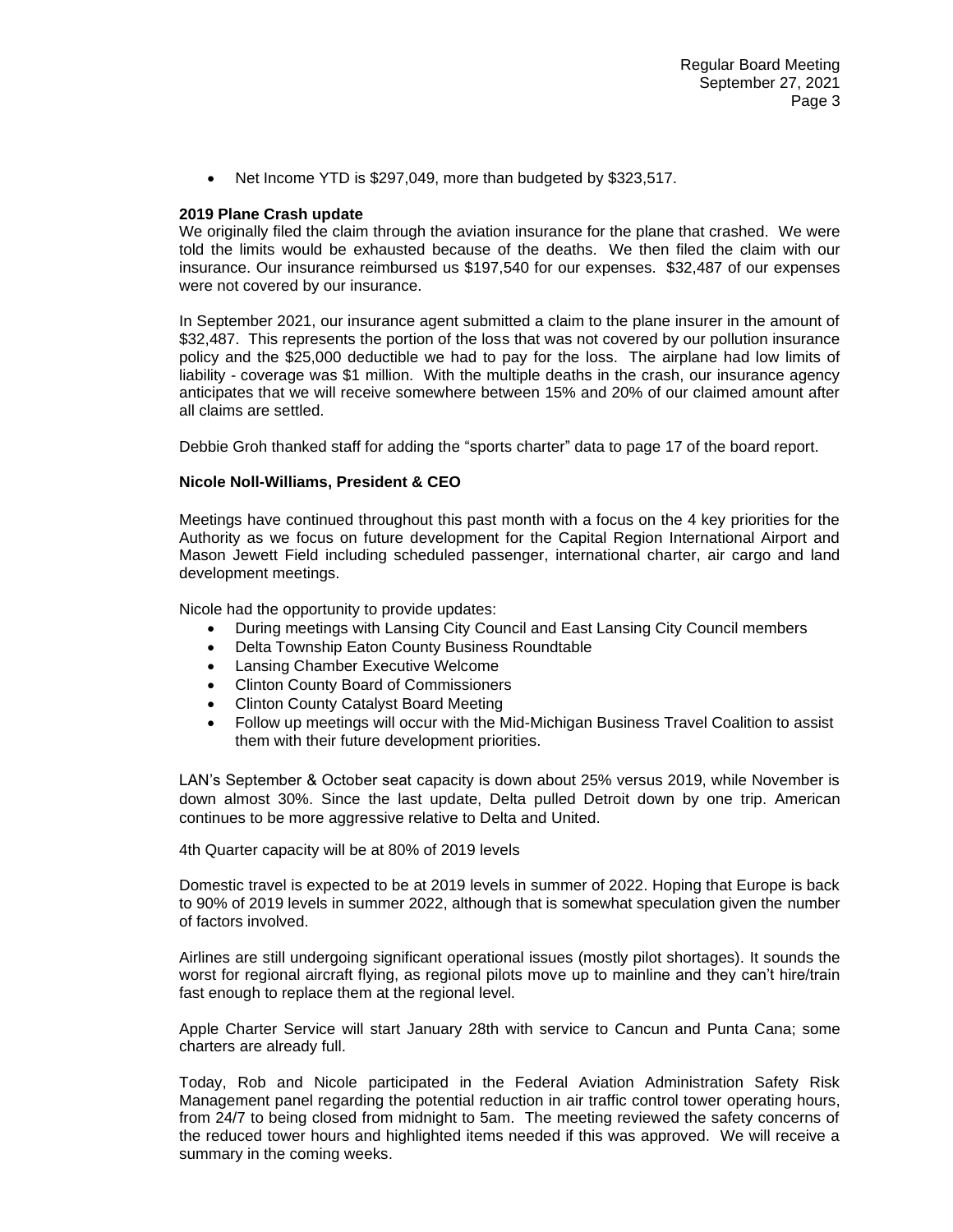Net Income YTD is \$297,049, more than budgeted by \$323,517.

#### **2019 Plane Crash update**

We originally filed the claim through the aviation insurance for the plane that crashed. We were told the limits would be exhausted because of the deaths. We then filed the claim with our insurance. Our insurance reimbursed us \$197,540 for our expenses. \$32,487 of our expenses were not covered by our insurance.

In September 2021, our insurance agent submitted a claim to the plane insurer in the amount of \$32,487. This represents the portion of the loss that was not covered by our pollution insurance policy and the \$25,000 deductible we had to pay for the loss. The airplane had low limits of liability - coverage was \$1 million. With the multiple deaths in the crash, our insurance agency anticipates that we will receive somewhere between 15% and 20% of our claimed amount after all claims are settled.

Debbie Groh thanked staff for adding the "sports charter" data to page 17 of the board report.

#### **Nicole Noll-Williams, President & CEO**

Meetings have continued throughout this past month with a focus on the 4 key priorities for the Authority as we focus on future development for the Capital Region International Airport and Mason Jewett Field including scheduled passenger, international charter, air cargo and land development meetings.

Nicole had the opportunity to provide updates:

- During meetings with Lansing City Council and East Lansing City Council members
- Delta Township Eaton County Business Roundtable
- Lansing Chamber Executive Welcome
- Clinton County Board of Commissioners
- Clinton County Catalyst Board Meeting
- Follow up meetings will occur with the Mid-Michigan Business Travel Coalition to assist them with their future development priorities.

LAN's September & October seat capacity is down about 25% versus 2019, while November is down almost 30%. Since the last update, Delta pulled Detroit down by one trip. American continues to be more aggressive relative to Delta and United.

4th Quarter capacity will be at 80% of 2019 levels

Domestic travel is expected to be at 2019 levels in summer of 2022. Hoping that Europe is back to 90% of 2019 levels in summer 2022, although that is somewhat speculation given the number of factors involved.

Airlines are still undergoing significant operational issues (mostly pilot shortages). It sounds the worst for regional aircraft flying, as regional pilots move up to mainline and they can't hire/train fast enough to replace them at the regional level.

Apple Charter Service will start January 28th with service to Cancun and Punta Cana; some charters are already full.

Today, Rob and Nicole participated in the Federal Aviation Administration Safety Risk Management panel regarding the potential reduction in air traffic control tower operating hours, from 24/7 to being closed from midnight to 5am. The meeting reviewed the safety concerns of the reduced tower hours and highlighted items needed if this was approved. We will receive a summary in the coming weeks.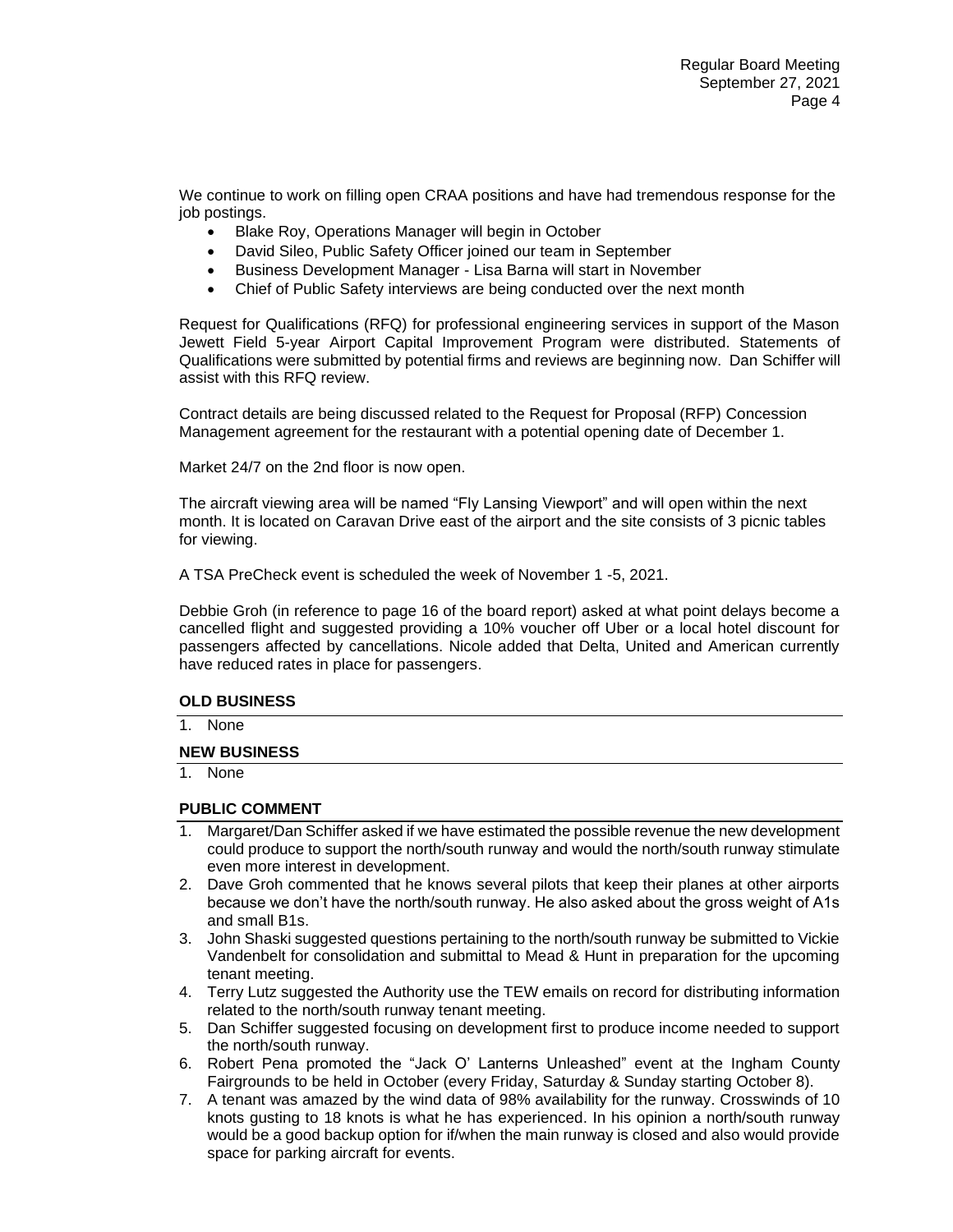We continue to work on filling open CRAA positions and have had tremendous response for the job postings.

- Blake Roy, Operations Manager will begin in October
- David Sileo, Public Safety Officer joined our team in September
- Business Development Manager Lisa Barna will start in November
- Chief of Public Safety interviews are being conducted over the next month

Request for Qualifications (RFQ) for professional engineering services in support of the Mason Jewett Field 5-year Airport Capital Improvement Program were distributed. Statements of Qualifications were submitted by potential firms and reviews are beginning now. Dan Schiffer will assist with this RFQ review.

Contract details are being discussed related to the Request for Proposal (RFP) Concession Management agreement for the restaurant with a potential opening date of December 1.

Market 24/7 on the 2nd floor is now open.

The aircraft viewing area will be named "Fly Lansing Viewport" and will open within the next month. It is located on Caravan Drive east of the airport and the site consists of 3 picnic tables for viewing.

A TSA PreCheck event is scheduled the week of November 1 -5, 2021.

Debbie Groh (in reference to page 16 of the board report) asked at what point delays become a cancelled flight and suggested providing a 10% voucher off Uber or a local hotel discount for passengers affected by cancellations. Nicole added that Delta, United and American currently have reduced rates in place for passengers.

## **OLD BUSINESS**

1. None

#### **NEW BUSINESS**

1. None

#### **PUBLIC COMMENT**

- 1. Margaret/Dan Schiffer asked if we have estimated the possible revenue the new development could produce to support the north/south runway and would the north/south runway stimulate even more interest in development.
- 2. Dave Groh commented that he knows several pilots that keep their planes at other airports because we don't have the north/south runway. He also asked about the gross weight of A1s and small B1s.
- 3. John Shaski suggested questions pertaining to the north/south runway be submitted to Vickie Vandenbelt for consolidation and submittal to Mead & Hunt in preparation for the upcoming tenant meeting.
- 4. Terry Lutz suggested the Authority use the TEW emails on record for distributing information related to the north/south runway tenant meeting.
- 5. Dan Schiffer suggested focusing on development first to produce income needed to support the north/south runway.
- 6. Robert Pena promoted the "Jack O' Lanterns Unleashed" event at the Ingham County Fairgrounds to be held in October (every Friday, Saturday & Sunday starting October 8).
- 7. A tenant was amazed by the wind data of 98% availability for the runway. Crosswinds of 10 knots gusting to 18 knots is what he has experienced. In his opinion a north/south runway would be a good backup option for if/when the main runway is closed and also would provide space for parking aircraft for events.